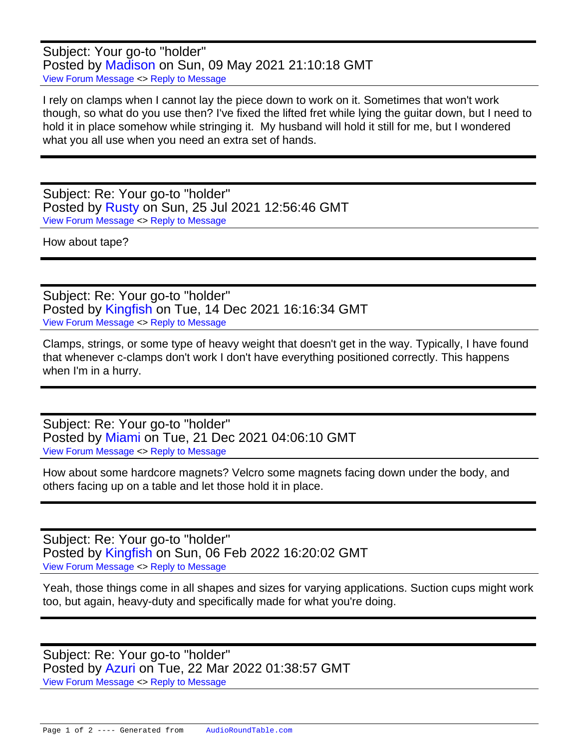Subject: Your go-to "holder" Posted by [Madison](https://audioroundtable.com/forum/index.php?t=usrinfo&id=7956) on Sun, 09 May 2021 21:10:18 GMT [View Forum Message](https://audioroundtable.com/forum/index.php?t=rview&th=23125&goto=93686#msg_93686) <> [Reply to Message](https://audioroundtable.com/forum/index.php?t=post&reply_to=93686)

I rely on clamps when I cannot lay the piece down to work on it. Sometimes that won't work though, so what do you use then? I've fixed the lifted fret while lying the guitar down, but I need to hold it in place somehow while stringing it. My husband will hold it still for me, but I wondered what you all use when you need an extra set of hands.

Subject: Re: Your go-to "holder" Posted by [Rusty](https://audioroundtable.com/forum/index.php?t=usrinfo&id=8363) on Sun, 25 Jul 2021 12:56:46 GMT [View Forum Message](https://audioroundtable.com/forum/index.php?t=rview&th=23125&goto=94097#msg_94097) <> [Reply to Message](https://audioroundtable.com/forum/index.php?t=post&reply_to=94097)

How about tape?

Subject: Re: Your go-to "holder" Posted by [Kingfish](https://audioroundtable.com/forum/index.php?t=usrinfo&id=5030) on Tue, 14 Dec 2021 16:16:34 GMT [View Forum Message](https://audioroundtable.com/forum/index.php?t=rview&th=23125&goto=94913#msg_94913) <> [Reply to Message](https://audioroundtable.com/forum/index.php?t=post&reply_to=94913)

Clamps, strings, or some type of heavy weight that doesn't get in the way. Typically, I have found that whenever c-clamps don't work I don't have everything positioned correctly. This happens when I'm in a hurry.

Subject: Re: Your go-to "holder" Posted by [Miami](https://audioroundtable.com/forum/index.php?t=usrinfo&id=4626) on Tue, 21 Dec 2021 04:06:10 GMT [View Forum Message](https://audioroundtable.com/forum/index.php?t=rview&th=23125&goto=94980#msg_94980) <> [Reply to Message](https://audioroundtable.com/forum/index.php?t=post&reply_to=94980)

How about some hardcore magnets? Velcro some magnets facing down under the body, and others facing up on a table and let those hold it in place.

Subject: Re: Your go-to "holder" Posted by [Kingfish](https://audioroundtable.com/forum/index.php?t=usrinfo&id=5030) on Sun, 06 Feb 2022 16:20:02 GMT [View Forum Message](https://audioroundtable.com/forum/index.php?t=rview&th=23125&goto=95202#msg_95202) <> [Reply to Message](https://audioroundtable.com/forum/index.php?t=post&reply_to=95202)

Yeah, those things come in all shapes and sizes for varying applications. Suction cups might work too, but again, heavy-duty and specifically made for what you're doing.

Subject: Re: Your go-to "holder" Posted by [Azuri](https://audioroundtable.com/forum/index.php?t=usrinfo&id=5028) on Tue, 22 Mar 2022 01:38:57 GMT [View Forum Message](https://audioroundtable.com/forum/index.php?t=rview&th=23125&goto=95413#msg_95413) <> [Reply to Message](https://audioroundtable.com/forum/index.php?t=post&reply_to=95413)